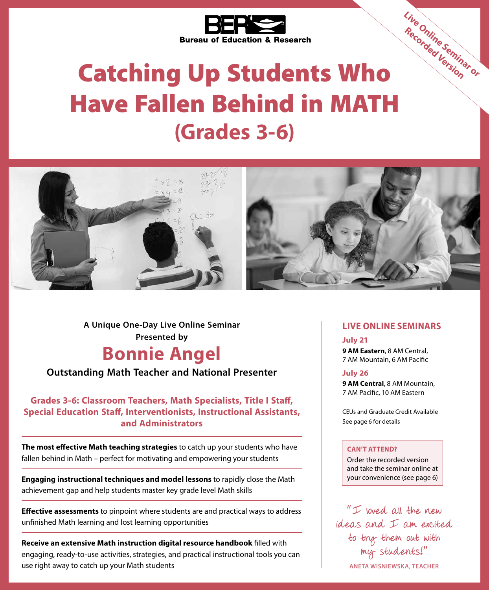

# Catching Up Students Who Have Fallen Behind in MATH **(Grades 3-6)**



**Presented by Bonnie Angel A Unique One-Day Live Online Seminar**

**Outstanding Math Teacher and National Presenter**

**Grades 3-6: Classroom Teachers, Math Specialists, Title I Staff, Special Education Staff, Interventionists, Instructional Assistants, and Administrators**

**The most effective Math teaching strategies** to catch up your students who have fallen behind in Math – perfect for motivating and empowering your students

**Engaging instructional techniques and model lessons** to rapidly close the Math achievement gap and help students master key grade level Math skills

**Effective assessments** to pinpoint where students are and practical ways to address unfinished Math learning and lost learning opportunities

**Receive an extensive Math instruction digital resource handbook** filled with engaging, ready-to-use activities, strategies, and practical instructional tools you can use right away to catch up your Math students

### **LIVE ONLINE SEMINARS**

**Live Online Seminar or Recorded Version**

#### **July 21**

**9 AM Eastern**, 8 AM Central, 7 AM Mountain, 6 AM Pacific

#### **July 26**

**9 AM Central**, 8 AM Mountain, 7 AM Pacific, 10 AM Eastern

CEUs and Graduate Credit Available See page 6 for details

#### **CAN'T ATTEND?**

Order the recorded version and take the seminar online at your convenience (see page 6)

 $"I$  loved all the new ideas and I am excited to try them out with my students!" **ANETA WISNIEWSKA, TEACHER**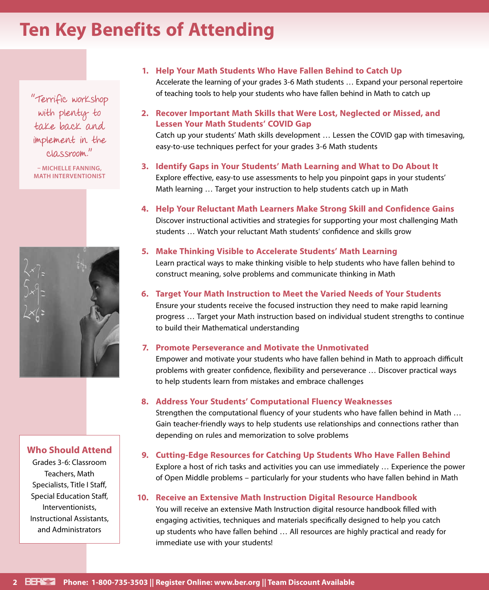## **Ten Key Benefits of Attending**

"Terrific workshop with plenty to take back and implement in the classroom."

**– MICHELLE FANNING, MATH INTERVENTIONIST**



### **Who Should Attend**

Grades 3-6: Classroom Teachers, Math Specialists, Title I Staff, Special Education Staff, Interventionists, Instructional Assistants, and Administrators

### **1. Help Your Math Students Who Have Fallen Behind to Catch Up**

Accelerate the learning of your grades 3-6 Math students … Expand your personal repertoire of teaching tools to help your students who have fallen behind in Math to catch up

**2. Recover Important Math Skills that Were Lost, Neglected or Missed, and Lessen Your Math Students' COVID Gap**

Catch up your students' Math skills development … Lessen the COVID gap with timesaving, easy-to-use techniques perfect for your grades 3-6 Math students

- **3. Identify Gaps in Your Students' Math Learning and What to Do About It** Explore effective, easy-to use assessments to help you pinpoint gaps in your students' Math learning … Target your instruction to help students catch up in Math
- **4. Help Your Reluctant Math Learners Make Strong Skill and Confidence Gains** Discover instructional activities and strategies for supporting your most challenging Math students … Watch your reluctant Math students' confidence and skills grow

### **5. Make Thinking Visible to Accelerate Students' Math Learning**

Learn practical ways to make thinking visible to help students who have fallen behind to construct meaning, solve problems and communicate thinking in Math

### **6. Target Your Math Instruction to Meet the Varied Needs of Your Students**

Ensure your students receive the focused instruction they need to make rapid learning progress … Target your Math instruction based on individual student strengths to continue to build their Mathematical understanding

#### **7. Promote Perseverance and Motivate the Unmotivated**

Empower and motivate your students who have fallen behind in Math to approach difficult problems with greater confidence, flexibility and perseverance … Discover practical ways to help students learn from mistakes and embrace challenges

#### **8. Address Your Students' Computational Fluency Weaknesses**

Strengthen the computational fluency of your students who have fallen behind in Math … Gain teacher-friendly ways to help students use relationships and connections rather than depending on rules and memorization to solve problems

#### **9. Cutting-Edge Resources for Catching Up Students Who Have Fallen Behind**

Explore a host of rich tasks and activities you can use immediately … Experience the power of Open Middle problems – particularly for your students who have fallen behind in Math

### **10. Receive an Extensive Math Instruction Digital Resource Handbook**

You will receive an extensive Math Instruction digital resource handbook filled with engaging activities, techniques and materials specifically designed to help you catch up students who have fallen behind … All resources are highly practical and ready for immediate use with your students!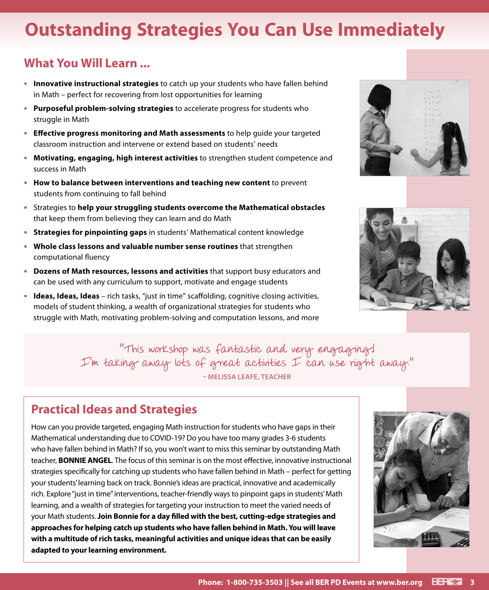## **Outstanding Strategies You Can Use Immediately**

### **What You Will Learn ...**

- **• Innovative instructional strategies** to catch up your students who have fallen behind in Math – perfect for recovering from lost opportunities for learning
- **• Purposeful problem-solving strategies** to accelerate progress for students who struggle in Math
- **• Effective progress monitoring and Math assessments** to help guide your targeted classroom instruction and intervene or extend based on students' needs
- **• Motivating, engaging, high interest activities** to strengthen student competence and success in Math
- **• How to balance between interventions and teaching new content** to prevent students from continuing to fall behind
- **•** Strategies to **help your struggling students overcome the Mathematical obstacles** that keep them from believing they can learn and do Math
- **• Strategies for pinpointing gaps** in students' Mathematical content knowledge
- **• Whole class lessons and valuable number sense routines** that strengthen computational fluency
- **• Dozens of Math resources, lessons and activities** that support busy educators and can be used with any curriculum to support, motivate and engage students
- **• Ideas, Ideas, Ideas**  rich tasks, "just in time" scaffolding, cognitive closing activities, models of student thinking, a wealth of organizational strategies for students who struggle with Math, motivating problem-solving and computation lessons, and more





"This workshop was fantastic and very engaging! I'm taking away lots of great activities I can use right away." **– MELISSA LEAFE, TEACHER**

## **Practical Ideas and Strategies**

How can you provide targeted, engaging Math instruction for students who have gaps in their Mathematical understanding due to COVID-19? Do you have too many grades 3-6 students who have fallen behind in Math? If so, you won't want to miss this seminar by outstanding Math teacher, **BONNIE ANGEL**. The focus of this seminar is on the most effective, innovative instructional strategies specifically for catching up students who have fallen behind in Math – perfect for getting your students' learning back on track. Bonnie's ideas are practical, innovative and academically rich. Explore "just in time" interventions, teacher-friendly ways to pinpoint gaps in students' Math learning, and a wealth of strategies for targeting your instruction to meet the varied needs of your Math students. **Join Bonnie for a day filled with the best, cutting-edge strategies and approaches for helping catch up students who have fallen behind in Math. You will leave with a multitude of rich tasks, meaningful activities and unique ideas that can be easily adapted to your learning environment.**

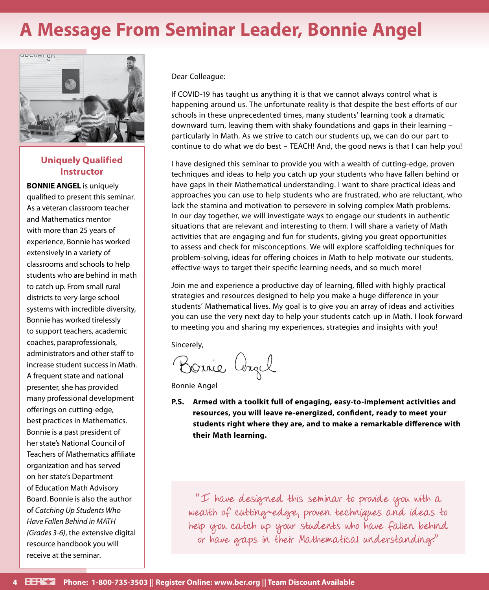## **A Message From Seminar Leader, Bonnie Angel**



### **Uniquely Qualified Instructor**

**BONNIE ANGEL** is uniquely qualified to present this seminar. As a veteran classroom teacher and Mathematics mentor with more than 25 years of experience, Bonnie has worked extensively in a variety of classrooms and schools to help students who are behind in math to catch up. From small rural districts to very large school systems with incredible diversity, Bonnie has worked tirelessly to support teachers, academic coaches, paraprofessionals, administrators and other staff to increase student success in Math. A frequent state and national presenter, she has provided many professional development offerings on cutting-edge, best practices in Mathematics. Bonnie is a past president of her state's National Council of Teachers of Mathematics affiliate organization and has served on her state's Department of Education Math Advisory Board. Bonnie is also the author of *Catching Up Students Who Have Fallen Behind in MATH (Grades 3-6)*, the extensive digital resource handbook you will receive at the seminar.

Dear Colleague:

If COVID-19 has taught us anything it is that we cannot always control what is happening around us. The unfortunate reality is that despite the best efforts of our schools in these unprecedented times, many students' learning took a dramatic downward turn, leaving them with shaky foundations and gaps in their learning – particularly in Math. As we strive to catch our students up, we can do our part to continue to do what we do best – TEACH! And, the good news is that I can help you!

I have designed this seminar to provide you with a wealth of cutting-edge, proven techniques and ideas to help you catch up your students who have fallen behind or have gaps in their Mathematical understanding. I want to share practical ideas and approaches you can use to help students who are frustrated, who are reluctant, who lack the stamina and motivation to persevere in solving complex Math problems. In our day together, we will investigate ways to engage our students in authentic situations that are relevant and interesting to them. I will share a variety of Math activities that are engaging and fun for students, giving you great opportunities to assess and check for misconceptions. We will explore scaffolding techniques for problem-solving, ideas for offering choices in Math to help motivate our students, effective ways to target their specific learning needs, and so much more!

Join me and experience a productive day of learning, filled with highly practical strategies and resources designed to help you make a huge difference in your students' Mathematical lives. My goal is to give you an array of ideas and activities you can use the very next day to help your students catch up in Math. I look forward to meeting you and sharing my experiences, strategies and insights with you!

Sincerely,

Bonnie angel

Bonnie Angel

**P.S. Armed with a toolkit full of engaging, easy-to-implement activities and resources, you will leave re-energized, confident, ready to meet your students right where they are, and to make a remarkable difference with their Math learning.**

"I have designed this seminar to provide you with a wealth of cutting-edge, proven techniques and ideas to help you catch up your students who have fallen behind or have gaps in their Mathematical understanding."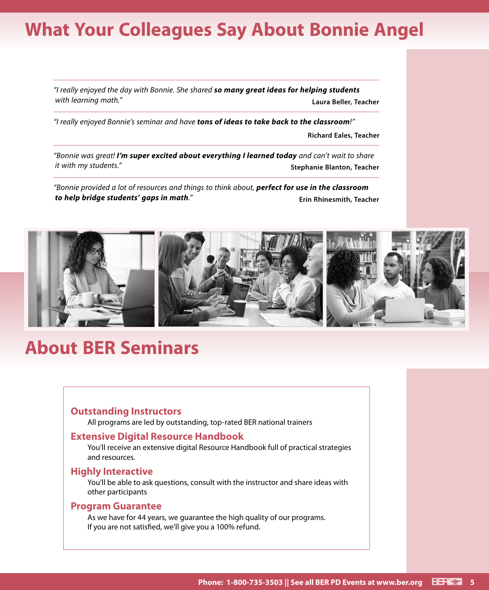## **What Your Colleagues Say About Bonnie Angel**

*"I really enjoyed the day with Bonnie. She shared so many great ideas for helping students with learning math."* **Laura Beller, Teacher**

*"I really enjoyed Bonnie's seminar and have tons of ideas to take back to the classroom!"*

**Richard Eales, Teacher**

*"Bonnie was great! I'm super excited about everything I learned today and can't wait to share it with my students."* **Stephanie Blanton, Teacher** 

*"Bonnie provided a lot of resources and things to think about, perfect for use in the classroom to help bridge students' gaps in math."* **Erin Rhinesmith, Teacher**



## **About BER Seminars**

### **Outstanding Instructors**

All programs are led by outstanding, top-rated BER national trainers

### **Extensive Digital Resource Handbook**

You'll receive an extensive digital Resource Handbook full of practical strategies and resources.

#### **Highly Interactive**

You'll be able to ask questions, consult with the instructor and share ideas with other participants

### **Program Guarantee**

As we have for 44 years, we guarantee the high quality of our programs. If you are not satisfied, we'll give you a 100% refund.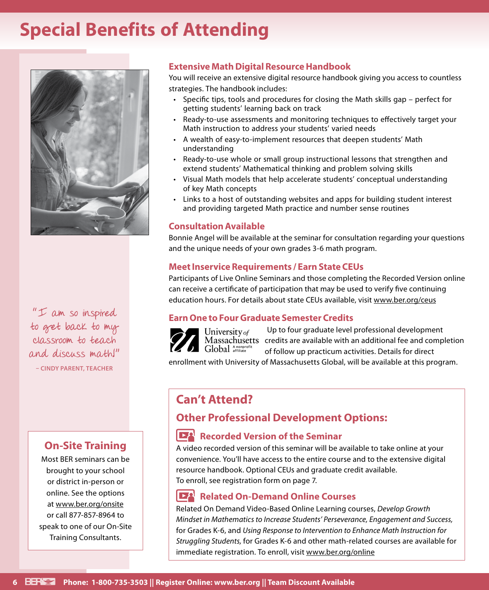## **Special Benefits of Attending**



"I am so inspired to get back to my classroom to teach and discuss math!" **– CINDY PARENT, TEACHER**

### **On-Site Training**

Most BER seminars can be brought to your school or district in-person or online. See the options at www.ber.org/onsite or call 877-857-8964 to speak to one of our On-Site Training Consultants.

### **Extensive Math Digital Resource Handbook**

You will receive an extensive digital resource handbook giving you access to countless strategies. The handbook includes:

- Specific tips, tools and procedures for closing the Math skills gap perfect for getting students' learning back on track
- Ready-to-use assessments and monitoring techniques to effectively target your Math instruction to address your students' varied needs
- A wealth of easy-to-implement resources that deepen students' Math understanding
- Ready-to-use whole or small group instructional lessons that strengthen and extend students' Mathematical thinking and problem solving skills
- Visual Math models that help accelerate students' conceptual understanding of key Math concepts
- Links to a host of outstanding websites and apps for building student interest and providing targeted Math practice and number sense routines

### **Consultation Available**

Bonnie Angel will be available at the seminar for consultation regarding your questions and the unique needs of your own grades 3-6 math program.

### **Meet Inservice Requirements / Earn State CEUs**

Participants of Live Online Seminars and those completing the Recorded Version online can receive a certificate of participation that may be used to verify five continuing education hours. For details about state CEUs available, visit www.ber.org/ceus

### **Earn One to Four Graduate Semester Credits**

Up to four graduate level professional development credits are available with an additional fee and completion Global Anonprofit of follow up practicum activities. Details for direct

enrollment with University of Massachusetts Global, will be available at this program.

## **Can't Attend?**

### **Other Professional Development Options:**

### **Recorded Version of the Seminar**

A video recorded version of this seminar will be available to take online at your convenience. You'll have access to the entire course and to the extensive digital resource handbook. Optional CEUs and graduate credit available. To enroll, see registration form on page 7.

### **Related On-Demand Online Courses**

Related On Demand Video-Based Online Learning courses, *Develop Growth Mindset in Mathematics to Increase Students' Perseverance, Engagement and Success,*  for Grades K-6, and *Using Response to Intervention to Enhance Math Instruction for Struggling Students,* for Grades K-6 and other math-related courses are available for immediate registration. To enroll, visit www.ber.org/online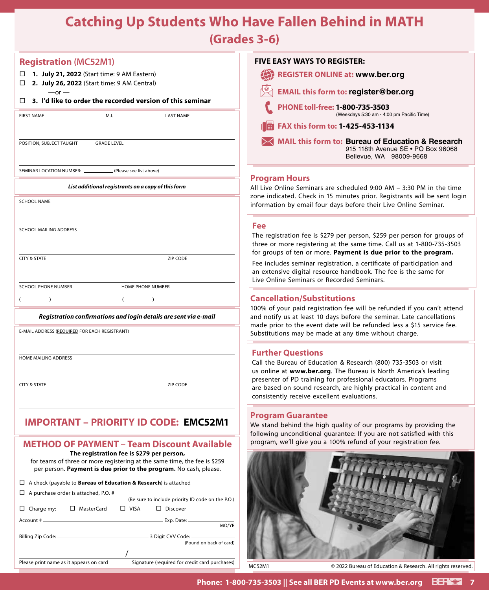## **Catching Up Students Who Have Fallen Behind in MATH**

**(Grades 3-6)**

| <b>Registration (MC52M1)</b>                                                                                                                                                                                                                              | <b>FIVE EASY WAYS TO REGISTER:</b>                                                                                                               |
|-----------------------------------------------------------------------------------------------------------------------------------------------------------------------------------------------------------------------------------------------------------|--------------------------------------------------------------------------------------------------------------------------------------------------|
| □ 1. July 21, 2022 (Start time: 9 AM Eastern)                                                                                                                                                                                                             | <b>REGISTER ONLINE at: www.ber.org</b>                                                                                                           |
| 2. July 26, 2022 (Start time: 9 AM Central)<br>□<br>$-$ or $-$                                                                                                                                                                                            | <b>EMAIL this form to: register@ber.org</b>                                                                                                      |
| 3. I'd like to order the recorded version of this seminar                                                                                                                                                                                                 | PHONE toll-free: 1-800-735-3503                                                                                                                  |
| <b>FIRST NAME</b><br>M.I.<br><b>LAST NAME</b>                                                                                                                                                                                                             | (Weekdays 5:30 am - 4:00 pm Pacific Time)                                                                                                        |
|                                                                                                                                                                                                                                                           | FAX this form to: 1-425-453-1134                                                                                                                 |
| POSITION, SUBJECT TAUGHT<br><b>GRADE LEVEL</b>                                                                                                                                                                                                            | MAIL this form to: Bureau of Education & Research<br>915 118th Avenue SE . PO Box 96068<br>Bellevue, WA 98009-9668                               |
| SEMINAR LOCATION NUMBER: (Please see list above)                                                                                                                                                                                                          | <b>Program Hours</b>                                                                                                                             |
| List additional registrants on a copy of this form                                                                                                                                                                                                        | All Live Online Seminars are scheduled 9:00 AM - 3:30 PM in the time                                                                             |
| <b>SCHOOL NAME</b>                                                                                                                                                                                                                                        | zone indicated. Check in 15 minutes prior. Registrants will be sent login<br>information by email four days before their Live Online Seminar.    |
|                                                                                                                                                                                                                                                           | Fee                                                                                                                                              |
| SCHOOL MAILING ADDRESS                                                                                                                                                                                                                                    | The registration fee is \$279 per person, \$259 per person for groups of                                                                         |
|                                                                                                                                                                                                                                                           | three or more registering at the same time. Call us at 1-800-735-3503<br>for groups of ten or more. Payment is due prior to the program.         |
| <b>CITY &amp; STATE</b><br>ZIP CODE                                                                                                                                                                                                                       | Fee includes seminar registration, a certificate of participation and<br>an extensive digital resource handbook. The fee is the same for         |
| <b>SCHOOL PHONE NUMBER</b><br>HOME PHONE NUMBER                                                                                                                                                                                                           | Live Online Seminars or Recorded Seminars.                                                                                                       |
| $\lambda$                                                                                                                                                                                                                                                 | <b>Cancellation/Substitutions</b>                                                                                                                |
| Registration confirmations and login details are sent via e-mail                                                                                                                                                                                          | 100% of your paid registration fee will be refunded if you can't attend<br>and notify us at least 10 days before the seminar. Late cancellations |
| E-MAIL ADDRESS (REQUIRED FOR EACH REGISTRANT)                                                                                                                                                                                                             | made prior to the event date will be refunded less a \$15 service fee.<br>Substitutions may be made at any time without charge.                  |
|                                                                                                                                                                                                                                                           | <b>Further Questions</b>                                                                                                                         |
| <b>HOME MAILING ADDRESS</b>                                                                                                                                                                                                                               | Call the Bureau of Education & Research (800) 735-3503 or visit                                                                                  |
|                                                                                                                                                                                                                                                           | us online at www.ber.org. The Bureau is North America's leading<br>presenter of PD training for professional educators. Programs                 |
| <b>CITY &amp; STATE</b><br>ZIP CODE                                                                                                                                                                                                                       | are based on sound research, are highly practical in content and<br>consistently receive excellent evaluations.                                  |
| <b>IMPORTANT - PRIORITY ID CODE: EMC52M1</b>                                                                                                                                                                                                              | <b>Program Guarantee</b>                                                                                                                         |
|                                                                                                                                                                                                                                                           | We stand behind the high quality of our programs by providing the<br>following unconditional guarantee: If you are not satisfied with this       |
| <b>METHOD OF PAYMENT - Team Discount Available</b>                                                                                                                                                                                                        | program, we'll give you a 100% refund of your registration fee.                                                                                  |
| for teams of three or more registering at the same time, the fee is \$259                                                                                                                                                                                 |                                                                                                                                                  |
|                                                                                                                                                                                                                                                           |                                                                                                                                                  |
| $\Box$ A purchase order is attached, P.O. # $\Box$                                                                                                                                                                                                        |                                                                                                                                                  |
| $\Box$ MasterCard<br>$\Box$ VISA<br>$\Box$ Charge my:<br>$\Box$ Discover                                                                                                                                                                                  |                                                                                                                                                  |
| MO/YR                                                                                                                                                                                                                                                     |                                                                                                                                                  |
|                                                                                                                                                                                                                                                           |                                                                                                                                                  |
| (Found on back of card)                                                                                                                                                                                                                                   |                                                                                                                                                  |
| Signature (required for credit card purchases)<br>Please print name as it appears on card                                                                                                                                                                 | <b>MC52M1</b><br>© 2022 Bureau of Education & Research. All rights reserved.                                                                     |
| The registration fee is \$279 per person,<br>per person. Payment is due prior to the program. No cash, please.<br>$\Box$ A check (payable to <b>Bureau of Education &amp; Research</b> ) is attached<br>(Be sure to include priority ID code on the P.O.) |                                                                                                                                                  |